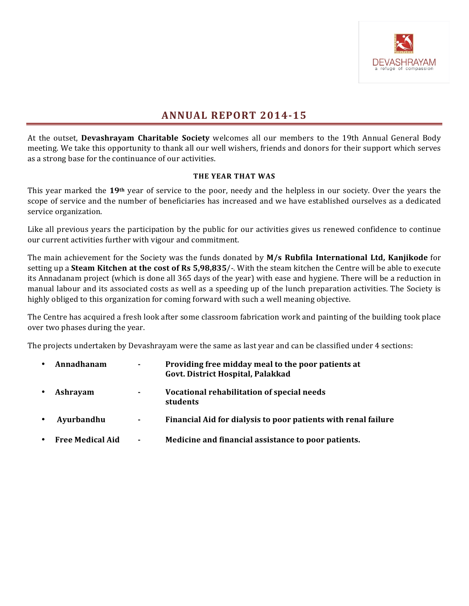

# **ANNUAL REPORT 2014-15**

At the outset, **Devashrayam Charitable Society** welcomes all our members to the 19th Annual General Body meeting. We take this opportunity to thank all our well wishers, friends and donors for their support which serves as a strong base for the continuance of our activities.

# **THE YEAR THAT WAS**

This year marked the 19<sup>th</sup> year of service to the poor, needy and the helpless in our society. Over the years the scope of service and the number of beneficiaries has increased and we have established ourselves as a dedicated service organization.

Like all previous years the participation by the public for our activities gives us renewed confidence to continue our current activities further with vigour and commitment.

The main achievement for the Society was the funds donated by M/s Rubfila International Ltd, Kanjikode for setting up a **Steam Kitchen at the cost of Rs 5,98,835**/-. With the steam kitchen the Centre will be able to execute its Annadanam project (which is done all 365 days of the year) with ease and hygiene. There will be a reduction in manual labour and its associated costs as well as a speeding up of the lunch preparation activities. The Society is highly obliged to this organization for coming forward with such a well meaning objective.

The Centre has acquired a fresh look after some classroom fabrication work and painting of the building took place over two phases during the year.

The projects undertaken by Devashrayam were the same as last year and can be classified under 4 sections:

| $\bullet$ | Annadhanam              | ٠              | Providing free midday meal to the poor patients at<br>Govt. District Hospital, Palakkad |
|-----------|-------------------------|----------------|-----------------------------------------------------------------------------------------|
| $\bullet$ | Ashrayam                | ۰.             | Vocational rehabilitation of special needs<br>students                                  |
|           | Ayurbandhu              | $\blacksquare$ | Financial Aid for dialysis to poor patients with renal failure                          |
| $\bullet$ | <b>Free Medical Aid</b> | ٠              | Medicine and financial assistance to poor patients.                                     |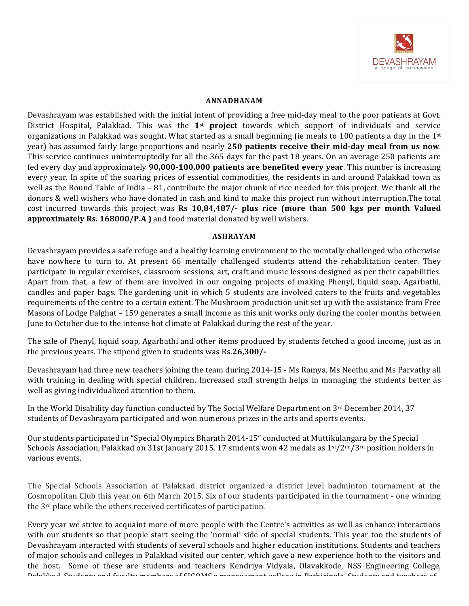

#### **ANNADHANAM**

Devashrayam was established with the initial intent of providing a free mid-day meal to the poor patients at Govt. District Hospital, Palakkad. This was the 1<sup>st</sup> project towards which support of individuals and service organizations in Palakkad was sought. What started as a small beginning (ie meals to 100 patients a day in the  $1^{st}$ year) has assumed fairly large proportions and nearly 250 patients receive their mid-day meal from us now. This service continues uninterruptedly for all the  $365$  days for the past 18 years. On an average 250 patients are fed every day and approximately **90,000-100,000 patients are benefited every year**. This number is increasing every year. In spite of the soaring prices of essential commodities, the residents in and around Palakkad town as well as the Round Table of India – 81, contribute the major chunk of rice needed for this project. We thank all the donors & well wishers who have donated in cash and kind to make this project run without interruption.The total cost incurred towards this project was **Rs 10,84,487/-** plus rice (more than 500 kgs per month Valued approximately Rs. 168000/P.A ) and food material donated by well wishers.

#### **ASHRAYAM**

Devashrayam provides a safe refuge and a healthy learning environment to the mentally challenged who otherwise have nowhere to turn to. At present 66 mentally challenged students attend the rehabilitation center. They participate in regular exercises, classroom sessions, art, craft and music lessons designed as per their capabilities. Apart from that, a few of them are involved in our ongoing projects of making Phenyl, liquid soap, Agarbathi, candles and paper bags. The gardening unit in which 5 students are involved caters to the fruits and vegetables requirements of the centre to a certain extent. The Mushroom production unit set up with the assistance from Free Masons of Lodge Palghat – 159 generates a small income as this unit works only during the cooler months between June to October due to the intense hot climate at Palakkad during the rest of the year.

The sale of Phenyl, liquid soap, Agarbathi and other items produced by students fetched a good income, just as in the previous years. The stipend given to students was Rs.26,300/-

Devashrayam had three new teachers joining the team during 2014-15 - Ms Ramya, Ms Neethu and Ms Parvathy all with training in dealing with special children. Increased staff strength helps in managing the students better as well as giving individualized attention to them.

In the World Disability day function conducted by The Social Welfare Department on 3rd December 2014, 37 students of Devashrayam participated and won numerous prizes in the arts and sports events.

Our students participated in "Special Olympics Bharath 2014-15" conducted at Muttikulangara by the Special Schools Association, Palakkad on 31st January 2015. 17 students won 42 medals as  $1<sup>st</sup>/2<sup>nd</sup>/3<sup>rd</sup>$  position holders in various events.

The Special Schools Association of Palakkad district organized a district level badminton tournament at the Cosmopolitan Club this year on 6th March 2015. Six of our students participated in the tournament - one winning the  $3<sup>rd</sup>$  place while the others received certificates of participation.

Every year we strive to acquaint more of more people with the Centre's activities as well as enhance interactions with our students so that people start seeing the 'normal' side of special students. This year too the students of Devashrayam interacted with students of several schools and higher education institutions. Students and teachers of major schools and colleges in Palakkad visited our center, which gave a new experience both to the visitors and the host. Some of these are students and teachers Kendriya Vidyala, Olavakkode, NSS Engineering College,  $P$ alakkad, Ctudents ond faculty members of CICOMC a menagement selloge in Pathinipala, Ctudents and teachers of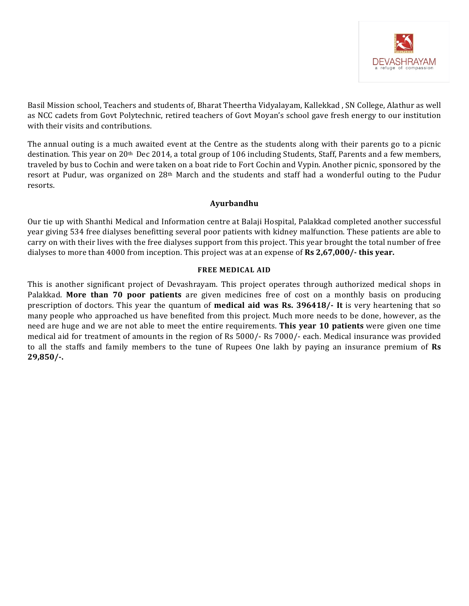

Basil Mission school, Teachers and students of, Bharat Theertha Vidyalayam, Kallekkad, SN College, Alathur as well as NCC cadets from Govt Polytechnic, retired teachers of Govt Moyan's school gave fresh energy to our institution with their visits and contributions.

The annual outing is a much awaited event at the Centre as the students along with their parents go to a picnic destination. This year on 20<sup>th</sup> Dec 2014, a total group of 106 including Students, Staff, Parents and a few members, traveled by bus to Cochin and were taken on a boat ride to Fort Cochin and Vypin. Another picnic, sponsored by the resort at Pudur, was organized on  $28<sup>th</sup>$  March and the students and staff had a wonderful outing to the Pudur resorts.

# **Ayurbandhu**

Our tie up with Shanthi Medical and Information centre at Balaji Hospital, Palakkad completed another successful year giving 534 free dialyses benefitting several poor patients with kidney malfunction. These patients are able to carry on with their lives with the free dialyses support from this project. This year brought the total number of free dialyses to more than 4000 from inception. This project was at an expense of **Rs 2,67,000/- this year.** 

# **FREE MEDICAL AID**

This is another significant project of Devashrayam. This project operates through authorized medical shops in Palakkad. More than 70 poor patients are given medicines free of cost on a monthly basis on producing prescription of doctors. This year the quantum of **medical aid was Rs. 396418/-** It is very heartening that so many people who approached us have benefited from this project. Much more needs to be done, however, as the need are huge and we are not able to meet the entire requirements. **This year 10 patients** were given one time medical aid for treatment of amounts in the region of Rs 5000/- Rs 7000/- each. Medical insurance was provided to all the staffs and family members to the tune of Rupees One lakh by paying an insurance premium of Rs **29,850/-.**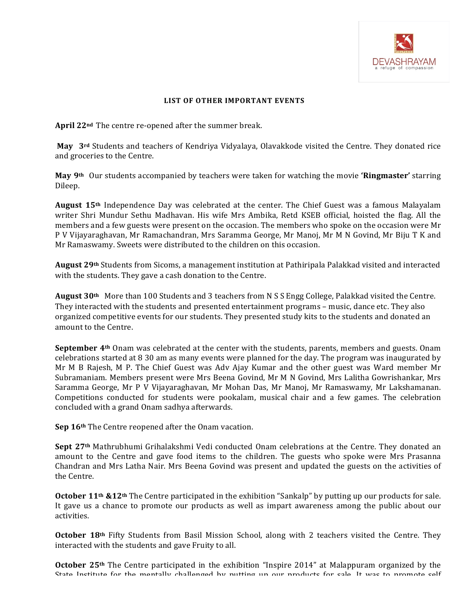

### LIST OF OTHER IMPORTANT EVENTS

April 22<sup>nd</sup> The centre re-opened after the summer break.

**May** 3<sup>rd</sup> Students and teachers of Kendriya Vidyalaya, Olavakkode visited the Centre. They donated rice and groceries to the Centre.

**May** 9<sup>th</sup> Our students accompanied by teachers were taken for watching the movie **'Ringmaster'** starring Dileep.

**August 15th** Independence Day was celebrated at the center. The Chief Guest was a famous Malayalam writer Shri Mundur Sethu Madhavan. His wife Mrs Ambika, Retd KSEB official, hoisted the flag. All the members and a few guests were present on the occasion. The members who spoke on the occasion were Mr P V Vijayaraghavan, Mr Ramachandran, Mrs Saramma George, Mr Manoj, Mr M N Govind, Mr Biju T K and Mr Ramaswamy. Sweets were distributed to the children on this occasion.

August 29<sup>th</sup> Students from Sicoms, a management institution at Pathiripala Palakkad visited and interacted with the students. They gave a cash donation to the Centre.

**August 30<sup>th</sup>** More than 100 Students and 3 teachers from N S S Engg College, Palakkad visited the Centre. They interacted with the students and presented entertainment programs – music, dance etc. They also organized competitive events for our students. They presented study kits to the students and donated an amount to the Centre.

**September 4<sup>th</sup>** Onam was celebrated at the center with the students, parents, members and guests. Onam celebrations started at 8 30 am as many events were planned for the day. The program was inaugurated by Mr M B Rajesh, M P. The Chief Guest was Adv Ajay Kumar and the other guest was Ward member Mr Subramaniam. Members present were Mrs Beena Govind, Mr M N Govind, Mrs Lalitha Gowrishankar, Mrs Saramma George, Mr P V Vijayaraghavan, Mr Mohan Das, Mr Manoj, Mr Ramaswamy, Mr Lakshamanan. Competitions conducted for students were pookalam, musical chair and a few games. The celebration concluded with a grand Onam sadhya afterwards.

**Sep 16th** The Centre reopened after the Onam vacation.

**Sept 27th Mathrubhumi Grihalakshmi Vedi conducted Onam celebrations at the Centre. They donated an** amount to the Centre and gave food items to the children. The guests who spoke were Mrs Prasanna Chandran and Mrs Latha Nair. Mrs Beena Govind was present and updated the guests on the activities of the Centre.

**October 11<sup>th</sup> &12<sup>th</sup>** The Centre participated in the exhibition "Sankalp" by putting up our products for sale. It gave us a chance to promote our products as well as impart awareness among the public about our activities.

**October 18th** Fifty Students from Basil Mission School, along with 2 teachers visited the Centre. They interacted with the students and gave Fruity to all.

**October 25<sup>th</sup>** The Centre participated in the exhibition "Inspire 2014" at Malappuram organized by the State Institute for the mentally challenged by nutting up our products for sale. It was to promote self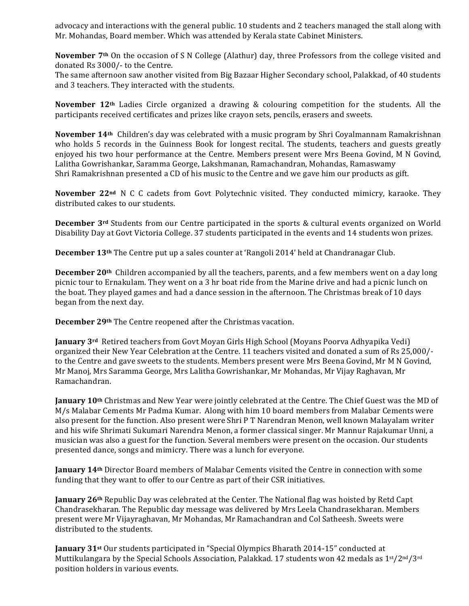advocacy and interactions with the general public. 10 students and 2 teachers managed the stall along with Mr. Mohandas, Board member. Which was attended by Kerala state Cabinet Ministers.

**November** 7<sup>th</sup> On the occasion of S N College (Alathur) day, three Professors from the college visited and donated Rs 3000/- to the Centre.

The same afternoon saw another visited from Big Bazaar Higher Secondary school, Palakkad, of 40 students and 3 teachers. They interacted with the students.

**November 12<sup>th</sup>** Ladies Circle organized a drawing & colouring competition for the students. All the participants received certificates and prizes like crayon sets, pencils, erasers and sweets.

**November 14<sup>th</sup>** Children's day was celebrated with a music program by Shri Coyalmannam Ramakrishnan who holds 5 records in the Guinness Book for longest recital. The students, teachers and guests greatly enjoyed his two hour performance at the Centre. Members present were Mrs Beena Govind, M N Govind, Lalitha Gowrishankar, Saramma George, Lakshmanan, Ramachandran, Mohandas, Ramaswamy Shri Ramakrishnan presented a CD of his music to the Centre and we gave him our products as gift.

**November 22<sup>nd</sup>** N C C cadets from Govt Polytechnic visited. They conducted mimicry, karaoke. They distributed cakes to our students.

**December** 3<sup>rd</sup> Students from our Centre participated in the sports & cultural events organized on World Disability Day at Govt Victoria College. 37 students participated in the events and 14 students won prizes.

**December 13<sup>th</sup>** The Centre put up a sales counter at 'Rangoli 2014' held at Chandranagar Club.

**December 20<sup>th</sup>** Children accompanied by all the teachers, parents, and a few members went on a day long picnic tour to Ernakulam. They went on a 3 hr boat ride from the Marine drive and had a picnic lunch on the boat. They played games and had a dance session in the afternoon. The Christmas break of 10 days began from the next day.

**December 29<sup>th</sup>** The Centre reopened after the Christmas vacation.

**January** 3<sup>rd</sup> Retired teachers from Govt Moyan Girls High School (Moyans Poorva Adhyapika Vedi) organized their New Year Celebration at the Centre. 11 teachers visited and donated a sum of Rs 25,000/to the Centre and gave sweets to the students. Members present were Mrs Beena Govind, Mr M N Govind, Mr Manoj, Mrs Saramma George, Mrs Lalitha Gowrishankar, Mr Mohandas, Mr Vijay Raghavan, Mr Ramachandran.

**January 10th** Christmas and New Year were jointly celebrated at the Centre. The Chief Guest was the MD of M/s Malabar Cements Mr Padma Kumar. Along with him 10 board members from Malabar Cements were also present for the function. Also present were Shri P T Narendran Menon, well known Malayalam writer and his wife Shrimati Sukumari Narendra Menon, a former classical singer. Mr Mannur Rajakumar Unni, a musician was also a guest for the function. Several members were present on the occasion. Our students presented dance, songs and mimicry. There was a lunch for everyone.

**January 14th** Director Board members of Malabar Cements visited the Centre in connection with some funding that they want to offer to our Centre as part of their CSR initiatives.

**January 26th** Republic Day was celebrated at the Center. The National flag was hoisted by Retd Capt Chandrasekharan. The Republic day message was delivered by Mrs Leela Chandrasekharan. Members present were Mr Vijayraghavan, Mr Mohandas, Mr Ramachandran and Col Satheesh. Sweets were distributed to the students.

**January** 31<sup>st</sup> Our students participated in "Special Olympics Bharath 2014-15" conducted at Muttikulangara by the Special Schools Association, Palakkad. 17 students won 42 medals as 1st/2nd/3rd position holders in various events.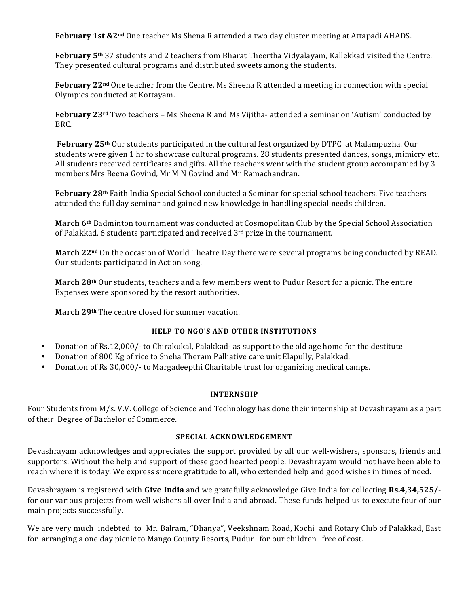**February 1st &2<sup>nd</sup>** One teacher Ms Shena R attended a two day cluster meeting at Attapadi AHADS.

**February 5<sup>th</sup>** 37 students and 2 teachers from Bharat Theertha Vidyalayam, Kallekkad visited the Centre. They presented cultural programs and distributed sweets among the students.

**February** 22<sup>nd</sup> One teacher from the Centre, Ms Sheena R attended a meeting in connection with special Olympics conducted at Kottayam.

**February 23<sup>rd</sup>** Two teachers – Ms Sheena R and Ms Vijitha- attended a seminar on 'Autism' conducted by BRC.

**February 25<sup>th</sup>** Our students participated in the cultural fest organized by DTPC at Malampuzha. Our students were given 1 hr to showcase cultural programs. 28 students presented dances, songs, mimicry etc. All students received certificates and gifts. All the teachers went with the student group accompanied by 3 members Mrs Beena Govind, Mr M N Govind and Mr Ramachandran.

February 28<sup>th</sup> Faith India Special School conducted a Seminar for special school teachers. Five teachers attended the full day seminar and gained new knowledge in handling special needs children.

March 6<sup>th</sup> Badminton tournament was conducted at Cosmopolitan Club by the Special School Association of Palakkad. 6 students participated and received  $3<sup>rd</sup>$  prize in the tournament.

**March 22<sup>nd</sup>** On the occasion of World Theatre Day there were several programs being conducted by READ. Our students participated in Action song.

**March 28th** Our students, teachers and a few members went to Pudur Resort for a picnic. The entire Expenses were sponsored by the resort authorities.

March 29<sup>th</sup> The centre closed for summer vacation.

# **HELP TO NGO'S AND OTHER INSTITUTIONS**

- Donation of Rs.12,000/- to Chirakukal, Palakkad- as support to the old age home for the destitute
- Donation of 800 Kg of rice to Sneha Theram Palliative care unit Elapully, Palakkad.
- Donation of Rs 30,000/- to Margadeepthi Charitable trust for organizing medical camps.

#### **INTERNSHIP**

Four Students from M/s. V.V. College of Science and Technology has done their internship at Devashrayam as a part of their Degree of Bachelor of Commerce.

#### **SPECIAL ACKNOWLEDGEMENT**

Devashrayam acknowledges and appreciates the support provided by all our well-wishers, sponsors, friends and supporters. Without the help and support of these good hearted people, Devashrayam would not have been able to reach where it is today. We express sincere gratitude to all, who extended help and good wishes in times of need.

Devashrayam is registered with **Give India** and we gratefully acknowledge Give India for collecting **Rs.4,34,525/**for our various projects from well wishers all over India and abroad. These funds helped us to execute four of our main projects successfully.

We are very much indebted to Mr. Balram, "Dhanya", Veekshnam Road, Kochi and Rotary Club of Palakkad, East for arranging a one day picnic to Mango County Resorts, Pudur for our children free of cost.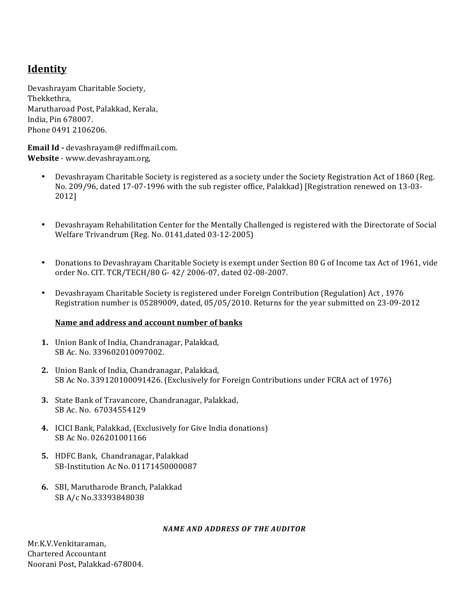# **Identity**

Devashrayam Charitable Society, Thekkethra, Marutharoad Post, Palakkad, Kerala, India, Pin 678007. Phone 0491 2106206. 

Email Id - devashrayam@ rediffmail.com. Website - www.devashrayam.org,

- Devashrayam Charitable Society is registered as a society under the Society Registration Act of 1860 (Reg. No. 209/96, dated 17-07-1996 with the sub register office, Palakkad) [Registration renewed on 13-03-2012]
- Devashrayam Rehabilitation Center for the Mentally Challenged is registered with the Directorate of Social Welfare Trivandrum (Reg. No. 0141,dated 03-12-2005)
- Donations to Devashrayam Charitable Society is exempt under Section 80 G of Income tax Act of 1961, vide order No. CIT. TCR/TECH/80 G- 42/ 2006-07, dated 02-08-2007.
- Devashrayam Charitable Society is registered under Foreign Contribution (Regulation) Act , 1976 Registration number is 05289009, dated, 05/05/2010. Returns for the year submitted on 23-09-2012

# Name and address and account number of banks

- **1.** Union Bank of India, Chandranagar, Palakkad, SB Ac. No. 339602010097002.
- 2. Union Bank of India, Chandranagar, Palakkad, SB Ac No. 339120100091426. (Exclusively for Foreign Contributions under FCRA act of 1976)
- **3.** State Bank of Travancore, Chandranagar, Palakkad, SB Ac. No. 67034554129
- **4.** ICICI Bank, Palakkad, (Exclusively for Give India donations) SB Ac No. 026201001166
- **5.** HDFC Bank, Chandranagar, Palakkad SB-Institution Ac No. 01171450000087
- **6.** SBI, Marutharode Branch, Palakkad SB A/c No.33393848038

# *NAME AND ADDRESS OF THE AUDITOR*

Mr.K.V.Venkitaraman, Chartered Accountant Noorani Post, Palakkad-678004.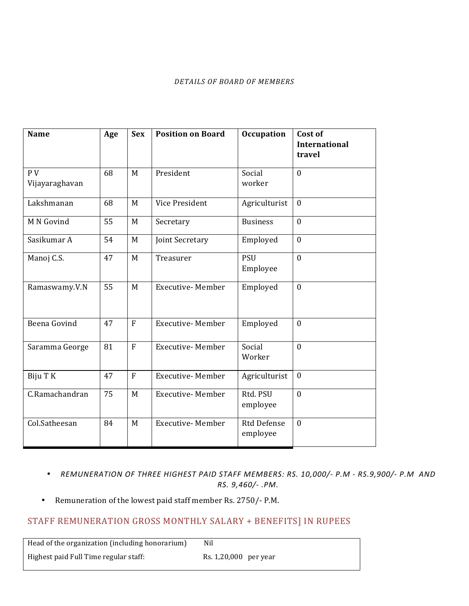#### *DETAILS OF BOARD OF MEMBERS*

| <b>Name</b>          | Age | <b>Sex</b>     | <b>Position on Board</b> | <b>Occupation</b>              | Cost of<br><b>International</b><br>travel |
|----------------------|-----|----------------|--------------------------|--------------------------------|-------------------------------------------|
|                      |     |                |                          |                                |                                           |
| PV<br>Vijayaraghavan | 68  | M              | President                | Social<br>worker               | $\mathbf{0}$                              |
| Lakshmanan           | 68  | M              | Vice President           | Agriculturist                  | $\mathbf{0}$                              |
| M N Govind           | 55  | M              | Secretary                | <b>Business</b>                | $\mathbf{0}$                              |
| Sasikumar A          | 54  | M              | Joint Secretary          | Employed                       | $\boldsymbol{0}$                          |
| Manoj C.S.           | 47  | M              | Treasurer                | <b>PSU</b><br>Employee         | $\mathbf{0}$                              |
| Ramaswamy.V.N        | 55  | M              | <b>Executive-Member</b>  | Employed                       | $\mathbf{0}$                              |
| Beena Govind         | 47  | F              | <b>Executive-Member</b>  | Employed                       | $\mathbf{0}$                              |
| Saramma George       | 81  | $\overline{F}$ | <b>Executive-Member</b>  | Social<br>Worker               | $\theta$                                  |
| Biju T K             | 47  | $\overline{F}$ | <b>Executive-Member</b>  | Agriculturist                  | $\mathbf{0}$                              |
| C.Ramachandran       | 75  | M              | <b>Executive-Member</b>  | Rtd. PSU<br>employee           | $\mathbf{0}$                              |
| Col.Satheesan        | 84  | M              | <b>Executive-Member</b>  | <b>Rtd Defense</b><br>employee | $\mathbf{0}$                              |

- REMUNERATION OF THREE HIGHEST PAID STAFF MEMBERS: RS. 10,000/- P.M RS.9,900/- P.M AND *RS. 9,460/- .PM.*
- Remuneration of the lowest paid staff member Rs. 2750/- P.M.

# STAFF REMUNERATION GROSS MONTHLY SALARY + BENEFITS] IN RUPEES

Head of the organization (including honorarium) Nil Highest paid Full Time regular staff: <br>
Rs. 1,20,000 \text{per year